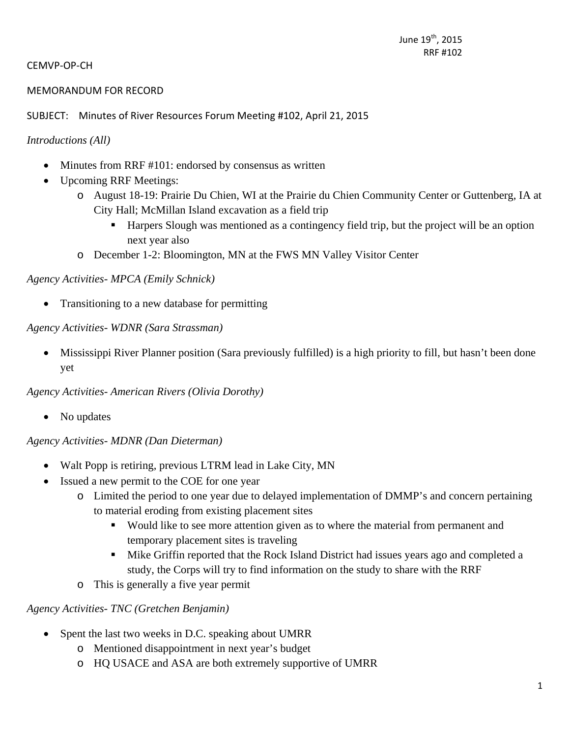#### CEMVP‐OP‐CH

#### MEMORANDUM FOR RECORD

SUBJECT: Minutes of River Resources Forum Meeting #102, April 21, 2015

#### *Introductions (All)*

- Minutes from RRF #101: endorsed by consensus as written
- Upcoming RRF Meetings:
	- o August 18-19: Prairie Du Chien, WI at the Prairie du Chien Community Center or Guttenberg, IA at City Hall; McMillan Island excavation as a field trip
		- Harpers Slough was mentioned as a contingency field trip, but the project will be an option next year also
	- o December 1-2: Bloomington, MN at the FWS MN Valley Visitor Center

#### *Agency Activities- MPCA (Emily Schnick)*

• Transitioning to a new database for permitting

#### *Agency Activities- WDNR (Sara Strassman)*

 Mississippi River Planner position (Sara previously fulfilled) is a high priority to fill, but hasn't been done yet

*Agency Activities- American Rivers (Olivia Dorothy)* 

• No updates

#### *Agency Activities- MDNR (Dan Dieterman)*

- Walt Popp is retiring, previous LTRM lead in Lake City, MN
- Issued a new permit to the COE for one year
	- o Limited the period to one year due to delayed implementation of DMMP's and concern pertaining to material eroding from existing placement sites
		- Would like to see more attention given as to where the material from permanent and temporary placement sites is traveling
		- Mike Griffin reported that the Rock Island District had issues years ago and completed a study, the Corps will try to find information on the study to share with the RRF
	- o This is generally a five year permit

#### *Agency Activities- TNC (Gretchen Benjamin)*

- Spent the last two weeks in D.C. speaking about UMRR
	- o Mentioned disappointment in next year's budget
	- o HQ USACE and ASA are both extremely supportive of UMRR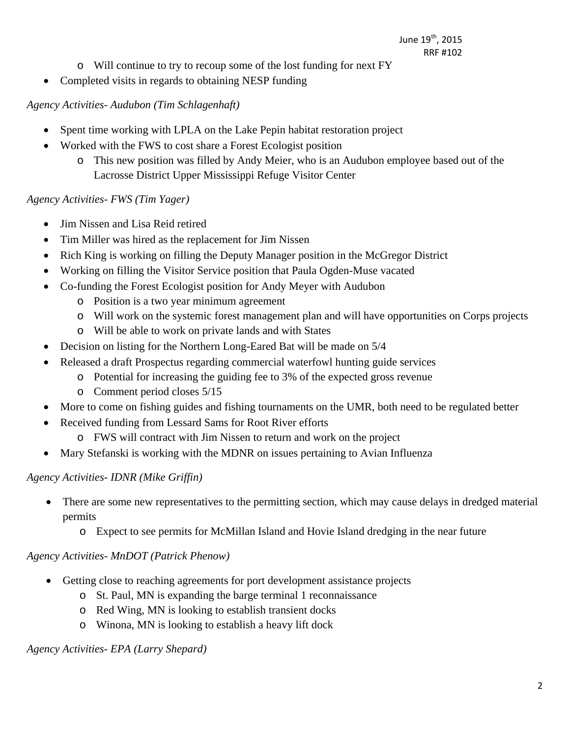- o Will continue to try to recoup some of the lost funding for next FY
- Completed visits in regards to obtaining NESP funding

#### *Agency Activities- Audubon (Tim Schlagenhaft)*

- Spent time working with LPLA on the Lake Pepin habitat restoration project
- Worked with the FWS to cost share a Forest Ecologist position
	- o This new position was filled by Andy Meier, who is an Audubon employee based out of the Lacrosse District Upper Mississippi Refuge Visitor Center

#### *Agency Activities- FWS (Tim Yager)*

- Jim Nissen and Lisa Reid retired
- Tim Miller was hired as the replacement for Jim Nissen
- Rich King is working on filling the Deputy Manager position in the McGregor District
- Working on filling the Visitor Service position that Paula Ogden-Muse vacated
- Co-funding the Forest Ecologist position for Andy Meyer with Audubon
	- o Position is a two year minimum agreement
	- o Will work on the systemic forest management plan and will have opportunities on Corps projects
	- o Will be able to work on private lands and with States
- Decision on listing for the Northern Long-Eared Bat will be made on 5/4
- Released a draft Prospectus regarding commercial waterfowl hunting guide services
	- o Potential for increasing the guiding fee to 3% of the expected gross revenue
	- o Comment period closes 5/15
- More to come on fishing guides and fishing tournaments on the UMR, both need to be regulated better
- Received funding from Lessard Sams for Root River efforts
	- o FWS will contract with Jim Nissen to return and work on the project
- Mary Stefanski is working with the MDNR on issues pertaining to Avian Influenza

#### *Agency Activities- IDNR (Mike Griffin)*

- There are some new representatives to the permitting section, which may cause delays in dredged material permits
	- o Expect to see permits for McMillan Island and Hovie Island dredging in the near future

#### *Agency Activities- MnDOT (Patrick Phenow)*

- Getting close to reaching agreements for port development assistance projects
	- o St. Paul, MN is expanding the barge terminal 1 reconnaissance
	- o Red Wing, MN is looking to establish transient docks
	- o Winona, MN is looking to establish a heavy lift dock

#### *Agency Activities- EPA (Larry Shepard)*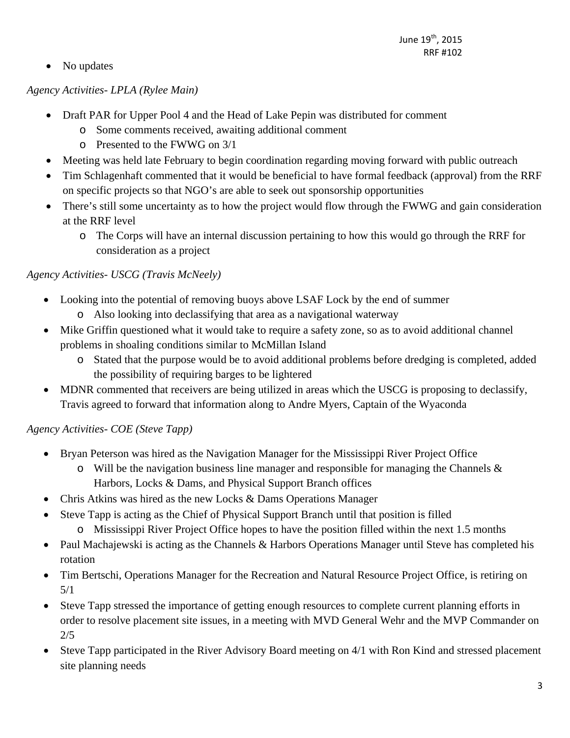• No updates

## *Agency Activities- LPLA (Rylee Main)*

- Draft PAR for Upper Pool 4 and the Head of Lake Pepin was distributed for comment
	- o Some comments received, awaiting additional comment
	- o Presented to the FWWG on 3/1
- Meeting was held late February to begin coordination regarding moving forward with public outreach
- Tim Schlagenhaft commented that it would be beneficial to have formal feedback (approval) from the RRF on specific projects so that NGO's are able to seek out sponsorship opportunities
- There's still some uncertainty as to how the project would flow through the FWWG and gain consideration at the RRF level
	- o The Corps will have an internal discussion pertaining to how this would go through the RRF for consideration as a project

## *Agency Activities- USCG (Travis McNeely)*

- Looking into the potential of removing buoys above LSAF Lock by the end of summer
	- o Also looking into declassifying that area as a navigational waterway
- Mike Griffin questioned what it would take to require a safety zone, so as to avoid additional channel problems in shoaling conditions similar to McMillan Island
	- o Stated that the purpose would be to avoid additional problems before dredging is completed, added the possibility of requiring barges to be lightered
- MDNR commented that receivers are being utilized in areas which the USCG is proposing to declassify, Travis agreed to forward that information along to Andre Myers, Captain of the Wyaconda

## *Agency Activities- COE (Steve Tapp)*

- Bryan Peterson was hired as the Navigation Manager for the Mississippi River Project Office
	- $\circ$  Will be the navigation business line manager and responsible for managing the Channels & Harbors, Locks & Dams, and Physical Support Branch offices
- Chris Atkins was hired as the new Locks & Dams Operations Manager
- Steve Tapp is acting as the Chief of Physical Support Branch until that position is filled
	- o Mississippi River Project Office hopes to have the position filled within the next 1.5 months
- Paul Machajewski is acting as the Channels & Harbors Operations Manager until Steve has completed his rotation
- Tim Bertschi, Operations Manager for the Recreation and Natural Resource Project Office, is retiring on 5/1
- Steve Tapp stressed the importance of getting enough resources to complete current planning efforts in order to resolve placement site issues, in a meeting with MVD General Wehr and the MVP Commander on 2/5
- Steve Tapp participated in the River Advisory Board meeting on 4/1 with Ron Kind and stressed placement site planning needs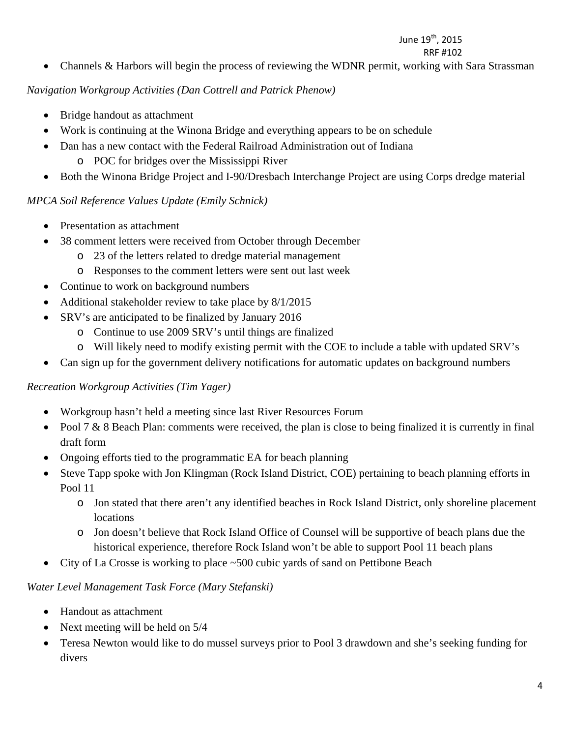# June 19<sup>th</sup>, 2015

 RRF #102 • Channels & Harbors will begin the process of reviewing the WDNR permit, working with Sara Strassman

#### *Navigation Workgroup Activities (Dan Cottrell and Patrick Phenow)*

- Bridge handout as attachment
- Work is continuing at the Winona Bridge and everything appears to be on schedule
- Dan has a new contact with the Federal Railroad Administration out of Indiana
	- o POC for bridges over the Mississippi River
- Both the Winona Bridge Project and I-90/Dresbach Interchange Project are using Corps dredge material

#### *MPCA Soil Reference Values Update (Emily Schnick)*

- Presentation as attachment
- 38 comment letters were received from October through December
	- o 23 of the letters related to dredge material management
	- o Responses to the comment letters were sent out last week
- Continue to work on background numbers
- Additional stakeholder review to take place by 8/1/2015
- SRV's are anticipated to be finalized by January 2016
	- o Continue to use 2009 SRV's until things are finalized
	- o Will likely need to modify existing permit with the COE to include a table with updated SRV's
- Can sign up for the government delivery notifications for automatic updates on background numbers

#### *Recreation Workgroup Activities (Tim Yager)*

- Workgroup hasn't held a meeting since last River Resources Forum
- Pool  $7 & 8$  Beach Plan: comments were received, the plan is close to being finalized it is currently in final draft form
- Ongoing efforts tied to the programmatic EA for beach planning
- Steve Tapp spoke with Jon Klingman (Rock Island District, COE) pertaining to beach planning efforts in Pool 11
	- o Jon stated that there aren't any identified beaches in Rock Island District, only shoreline placement locations
	- o Jon doesn't believe that Rock Island Office of Counsel will be supportive of beach plans due the historical experience, therefore Rock Island won't be able to support Pool 11 beach plans
- City of La Crosse is working to place ~500 cubic yards of sand on Pettibone Beach

#### *Water Level Management Task Force (Mary Stefanski)*

- Handout as attachment
- Next meeting will be held on  $5/4$
- Teresa Newton would like to do mussel surveys prior to Pool 3 drawdown and she's seeking funding for divers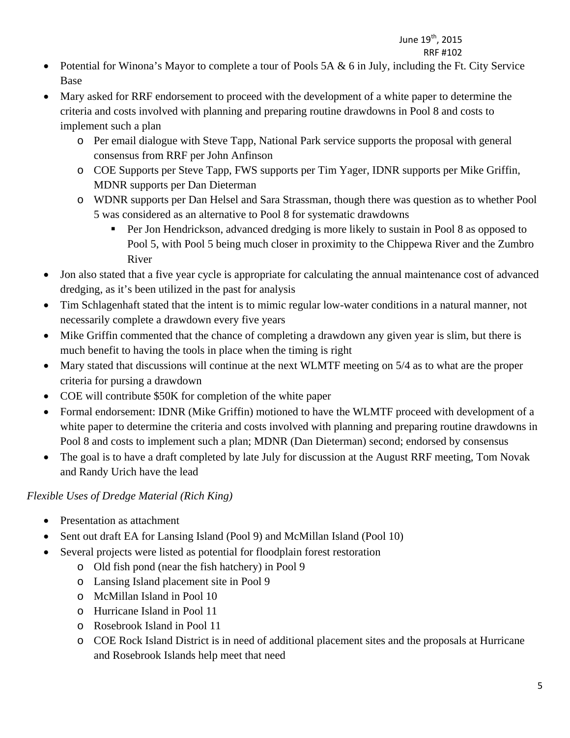#### June 19<sup>th</sup>, 2015 RRF #102

#### • Potential for Winona's Mayor to complete a tour of Pools 5A  $\&$  6 in July, including the Ft. City Service Base

- Mary asked for RRF endorsement to proceed with the development of a white paper to determine the criteria and costs involved with planning and preparing routine drawdowns in Pool 8 and costs to implement such a plan
	- o Per email dialogue with Steve Tapp, National Park service supports the proposal with general consensus from RRF per John Anfinson
	- o COE Supports per Steve Tapp, FWS supports per Tim Yager, IDNR supports per Mike Griffin, MDNR supports per Dan Dieterman
	- o WDNR supports per Dan Helsel and Sara Strassman, though there was question as to whether Pool 5 was considered as an alternative to Pool 8 for systematic drawdowns
		- Per Jon Hendrickson, advanced dredging is more likely to sustain in Pool 8 as opposed to Pool 5, with Pool 5 being much closer in proximity to the Chippewa River and the Zumbro River
- Jon also stated that a five year cycle is appropriate for calculating the annual maintenance cost of advanced dredging, as it's been utilized in the past for analysis
- Tim Schlagenhaft stated that the intent is to mimic regular low-water conditions in a natural manner, not necessarily complete a drawdown every five years
- Mike Griffin commented that the chance of completing a drawdown any given year is slim, but there is much benefit to having the tools in place when the timing is right
- Mary stated that discussions will continue at the next WLMTF meeting on 5/4 as to what are the proper criteria for pursing a drawdown
- COE will contribute \$50K for completion of the white paper
- Formal endorsement: IDNR (Mike Griffin) motioned to have the WLMTF proceed with development of a white paper to determine the criteria and costs involved with planning and preparing routine drawdowns in Pool 8 and costs to implement such a plan; MDNR (Dan Dieterman) second; endorsed by consensus
- The goal is to have a draft completed by late July for discussion at the August RRF meeting, Tom Novak and Randy Urich have the lead

## *Flexible Uses of Dredge Material (Rich King)*

- Presentation as attachment
- Sent out draft EA for Lansing Island (Pool 9) and McMillan Island (Pool 10)
- Several projects were listed as potential for floodplain forest restoration
	- o Old fish pond (near the fish hatchery) in Pool 9
	- o Lansing Island placement site in Pool 9
	- o McMillan Island in Pool 10
	- o Hurricane Island in Pool 11
	- o Rosebrook Island in Pool 11
	- o COE Rock Island District is in need of additional placement sites and the proposals at Hurricane and Rosebrook Islands help meet that need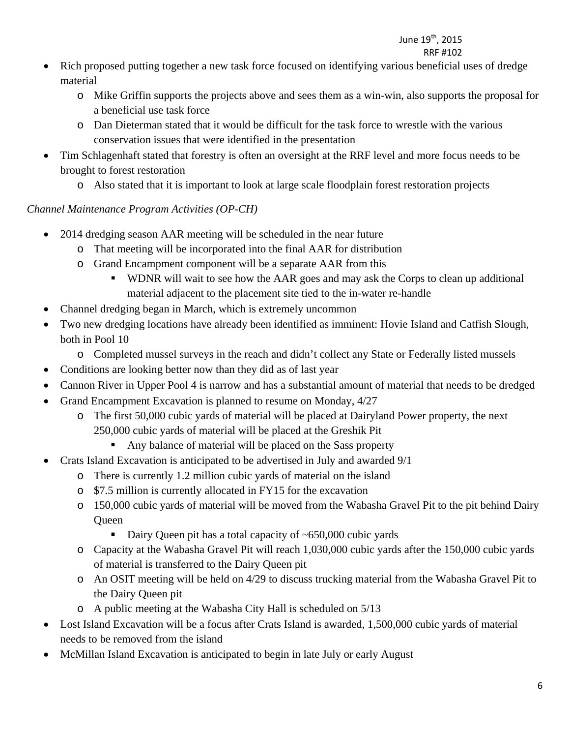#### June 19<sup>th</sup>, 2015 RRF #102

- Rich proposed putting together a new task force focused on identifying various beneficial uses of dredge material
	- o Mike Griffin supports the projects above and sees them as a win-win, also supports the proposal for a beneficial use task force
	- o Dan Dieterman stated that it would be difficult for the task force to wrestle with the various conservation issues that were identified in the presentation
- Tim Schlagenhaft stated that forestry is often an oversight at the RRF level and more focus needs to be brought to forest restoration
	- o Also stated that it is important to look at large scale floodplain forest restoration projects

## *Channel Maintenance Program Activities (OP-CH)*

- 2014 dredging season AAR meeting will be scheduled in the near future
	- o That meeting will be incorporated into the final AAR for distribution
	- o Grand Encampment component will be a separate AAR from this
		- WDNR will wait to see how the AAR goes and may ask the Corps to clean up additional material adjacent to the placement site tied to the in-water re-handle
- Channel dredging began in March, which is extremely uncommon
- Two new dredging locations have already been identified as imminent: Hovie Island and Catfish Slough, both in Pool 10
	- o Completed mussel surveys in the reach and didn't collect any State or Federally listed mussels
- Conditions are looking better now than they did as of last year
- Cannon River in Upper Pool 4 is narrow and has a substantial amount of material that needs to be dredged
- Grand Encampment Excavation is planned to resume on Monday, 4/27
	- o The first 50,000 cubic yards of material will be placed at Dairyland Power property, the next 250,000 cubic yards of material will be placed at the Greshik Pit
		- Any balance of material will be placed on the Sass property
- Crats Island Excavation is anticipated to be advertised in July and awarded 9/1
	- o There is currently 1.2 million cubic yards of material on the island
	- o \$7.5 million is currently allocated in FY15 for the excavation
	- o 150,000 cubic yards of material will be moved from the Wabasha Gravel Pit to the pit behind Dairy Queen
		- Dairy Queen pit has a total capacity of ~650,000 cubic yards
	- o Capacity at the Wabasha Gravel Pit will reach 1,030,000 cubic yards after the 150,000 cubic yards of material is transferred to the Dairy Queen pit
	- o An OSIT meeting will be held on 4/29 to discuss trucking material from the Wabasha Gravel Pit to the Dairy Queen pit
	- o A public meeting at the Wabasha City Hall is scheduled on 5/13
- Lost Island Excavation will be a focus after Crats Island is awarded, 1,500,000 cubic yards of material needs to be removed from the island
- McMillan Island Excavation is anticipated to begin in late July or early August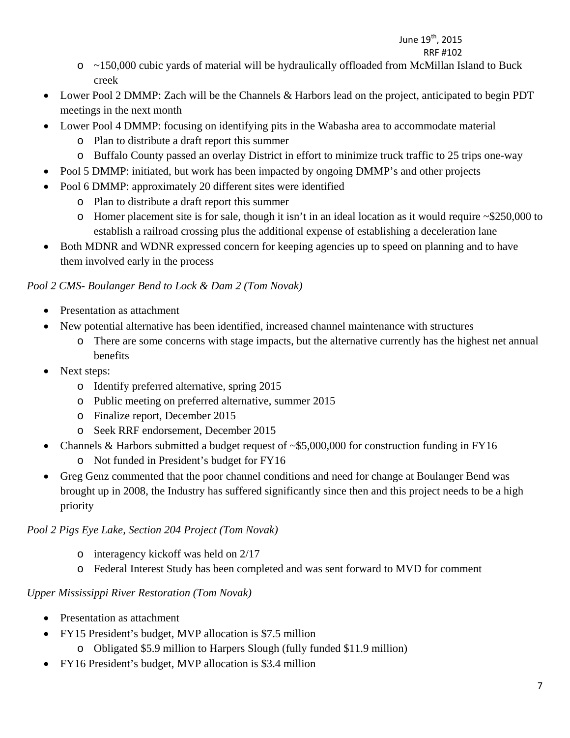## June 19<sup>th</sup>, 2015

- RRF #102 o ~150,000 cubic yards of material will be hydraulically offloaded from McMillan Island to Buck creek
	- Lower Pool 2 DMMP: Zach will be the Channels & Harbors lead on the project, anticipated to begin PDT meetings in the next month
	- Lower Pool 4 DMMP: focusing on identifying pits in the Wabasha area to accommodate material
		- o Plan to distribute a draft report this summer
		- o Buffalo County passed an overlay District in effort to minimize truck traffic to 25 trips one-way
	- Pool 5 DMMP: initiated, but work has been impacted by ongoing DMMP's and other projects
	- Pool 6 DMMP: approximately 20 different sites were identified
		- o Plan to distribute a draft report this summer
		- o Homer placement site is for sale, though it isn't in an ideal location as it would require ~\$250,000 to establish a railroad crossing plus the additional expense of establishing a deceleration lane
	- Both MDNR and WDNR expressed concern for keeping agencies up to speed on planning and to have them involved early in the process

# *Pool 2 CMS- Boulanger Bend to Lock & Dam 2 (Tom Novak)*

- Presentation as attachment
- New potential alternative has been identified, increased channel maintenance with structures
	- o There are some concerns with stage impacts, but the alternative currently has the highest net annual benefits
- Next steps:
	- o Identify preferred alternative, spring 2015
	- o Public meeting on preferred alternative, summer 2015
	- o Finalize report, December 2015
	- o Seek RRF endorsement, December 2015
- Channels & Harbors submitted a budget request of ~\$5,000,000 for construction funding in FY16
	- o Not funded in President's budget for FY16
- Greg Genz commented that the poor channel conditions and need for change at Boulanger Bend was brought up in 2008, the Industry has suffered significantly since then and this project needs to be a high priority

## *Pool 2 Pigs Eye Lake, Section 204 Project (Tom Novak)*

- o interagency kickoff was held on 2/17
- o Federal Interest Study has been completed and was sent forward to MVD for comment

# *Upper Mississippi River Restoration (Tom Novak)*

- Presentation as attachment
- FY15 President's budget, MVP allocation is \$7.5 million
	- o Obligated \$5.9 million to Harpers Slough (fully funded \$11.9 million)
- FY16 President's budget, MVP allocation is \$3.4 million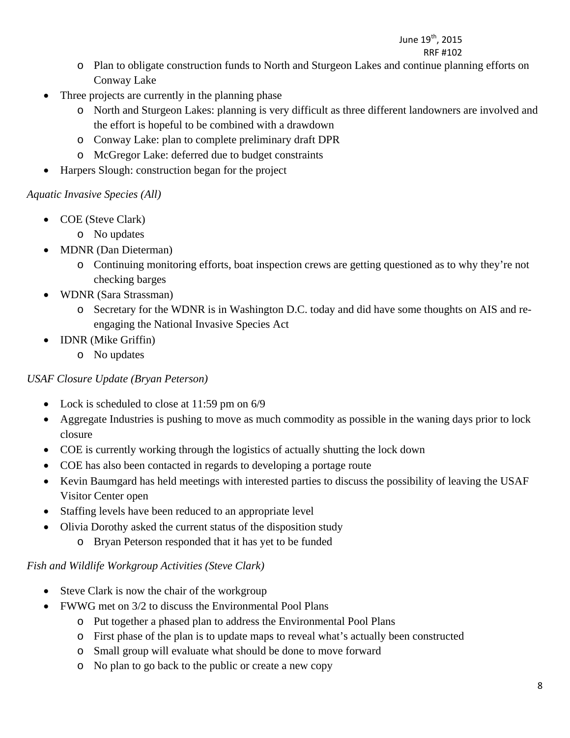# June 19<sup>th</sup>, 2015

#### RRF #102

- o Plan to obligate construction funds to North and Sturgeon Lakes and continue planning efforts on Conway Lake
- Three projects are currently in the planning phase
	- o North and Sturgeon Lakes: planning is very difficult as three different landowners are involved and the effort is hopeful to be combined with a drawdown
	- o Conway Lake: plan to complete preliminary draft DPR
	- o McGregor Lake: deferred due to budget constraints
- Harpers Slough: construction began for the project

### *Aquatic Invasive Species (All)*

- COE (Steve Clark)
	- o No updates
- MDNR (Dan Dieterman)
	- o Continuing monitoring efforts, boat inspection crews are getting questioned as to why they're not checking barges
- WDNR (Sara Strassman)
	- o Secretary for the WDNR is in Washington D.C. today and did have some thoughts on AIS and reengaging the National Invasive Species Act
- **IDNR** (Mike Griffin)
	- o No updates

#### *USAF Closure Update (Bryan Peterson)*

- Lock is scheduled to close at 11:59 pm on 6/9
- Aggregate Industries is pushing to move as much commodity as possible in the waning days prior to lock closure
- COE is currently working through the logistics of actually shutting the lock down
- COE has also been contacted in regards to developing a portage route
- Kevin Baumgard has held meetings with interested parties to discuss the possibility of leaving the USAF Visitor Center open
- Staffing levels have been reduced to an appropriate level
- Olivia Dorothy asked the current status of the disposition study
	- o Bryan Peterson responded that it has yet to be funded

#### *Fish and Wildlife Workgroup Activities (Steve Clark)*

- Steve Clark is now the chair of the workgroup
- FWWG met on 3/2 to discuss the Environmental Pool Plans
	- o Put together a phased plan to address the Environmental Pool Plans
	- o First phase of the plan is to update maps to reveal what's actually been constructed
	- o Small group will evaluate what should be done to move forward
	- o No plan to go back to the public or create a new copy